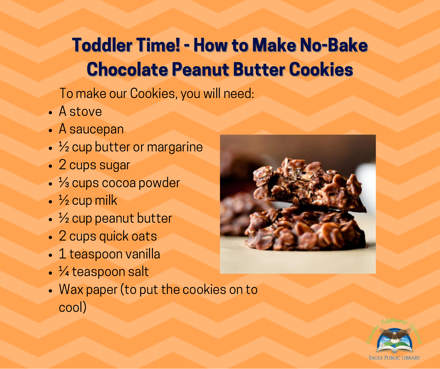## Toddler Time! - How to Make No-Bake Chocolate Peanut Butter Cookies

To make our Cookies, you will need:

- A stove
- A saucepan
- <sup>1</sup>/<sub>2</sub> cup butter or margarine
- 2 cups sugar
- <sup>1</sup>⁄<sub>3</sub> cups cocoa powder
- $\cdot$   $\frac{1}{2}$  cup milk
- $\cdot$   $\frac{1}{2}$  cup peanut butter
- 2 cups quick oats
- 1 teaspoon vanilla
- <sup>1</sup>/<sub>4</sub> teaspoon salt
- Wax paper (to put the cookies on to cool)



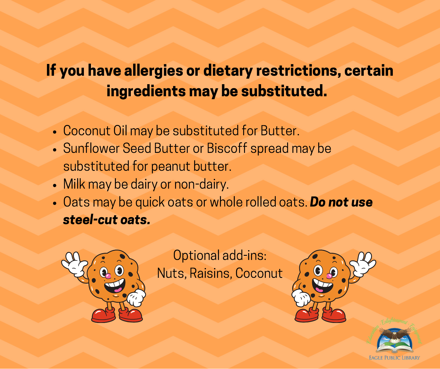## If you have allergies or dietary restrictions, certain ingredients may be substituted.

- Coconut Oil may be substituted for Butter.
- Sunflower Seed Butter or Biscoff spread may be substituted for peanut butter.
- Milk may be dairy or non-dairy.
- Oats may be quick oats or whole rolled oats. Do not use steel-cut oats.



Optional add-ins: Nuts, Raisins, Coconut



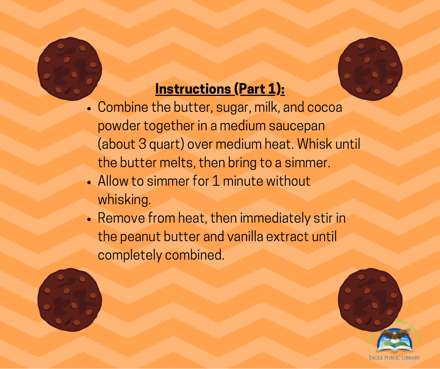

## Instructions (Part 1):

- Combine the butter, sugar, milk, and cocoa powder together in a medium saucepan (about 3 quart) over medium heat. Whisk until the butter melts, then bring to a simmer.
- Allow to simmer for 1 minute without whisking.
- Remove from heat, then immediately stir in the peanut butter and vanilla extract until completely combined.